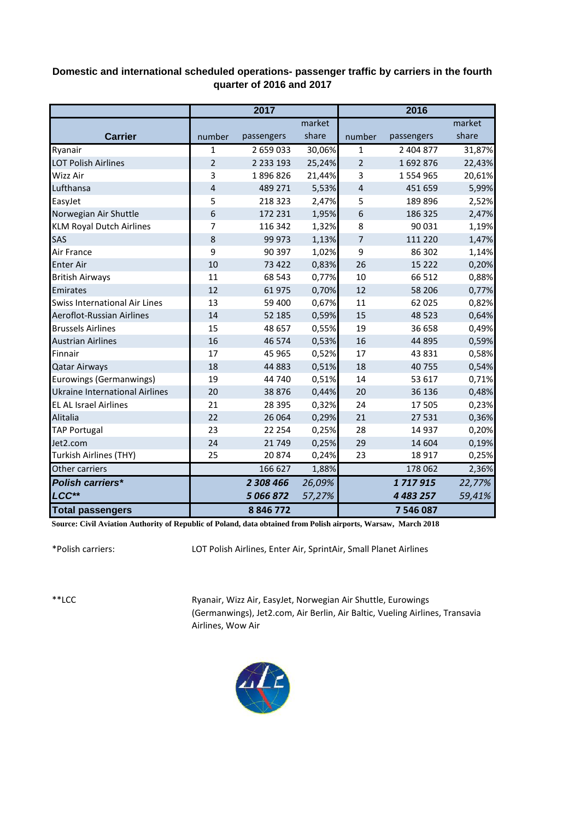## **Domestic and international scheduled operations- passenger traffic by carriers in the fourth quarter of 2016 and 2017**

|                                       | 2017           |             |        | 2016             |               |        |  |
|---------------------------------------|----------------|-------------|--------|------------------|---------------|--------|--|
|                                       |                |             | market |                  |               | market |  |
| <b>Carrier</b>                        | number         | passengers  | share  | number           | passengers    | share  |  |
| Ryanair                               | $\mathbf{1}$   | 2 659 033   | 30,06% | 1                | 2 404 877     | 31,87% |  |
| <b>LOT Polish Airlines</b>            | $\overline{2}$ | 2 2 3 1 9 3 | 25,24% | $\overline{2}$   | 1692876       | 22,43% |  |
| Wizz Air                              | 3              | 1896826     | 21,44% | 3                | 1 554 965     | 20,61% |  |
| Lufthansa                             | $\overline{4}$ | 489 271     | 5,53%  | $\overline{4}$   | 451 659       | 5,99%  |  |
| EasyJet                               | 5              | 218 323     | 2,47%  | 5                | 189896        | 2,52%  |  |
| Norwegian Air Shuttle                 | 6              | 172 231     | 1,95%  | $\boldsymbol{6}$ | 186 325       | 2,47%  |  |
| <b>KLM Royal Dutch Airlines</b>       | 7              | 116 342     | 1,32%  | 8                | 90 031        | 1,19%  |  |
| SAS                                   | 8              | 99 973      | 1,13%  | 7                | 111 220       | 1,47%  |  |
| Air France                            | 9              | 90 397      | 1,02%  | 9                | 86 302        | 1,14%  |  |
| <b>Enter Air</b>                      | 10             | 73 422      | 0,83%  | 26               | 15 2 2 2      | 0,20%  |  |
| <b>British Airways</b>                | 11             | 68 543      | 0,77%  | 10               | 66 512        | 0,88%  |  |
| Emirates                              | 12             | 61975       | 0,70%  | 12               | 58 206        | 0,77%  |  |
| Swiss International Air Lines         | 13             | 59 400      | 0,67%  | 11               | 62 0 25       | 0,82%  |  |
| Aeroflot-Russian Airlines             | 14             | 52 185      | 0,59%  | 15               | 48 5 23       | 0,64%  |  |
| <b>Brussels Airlines</b>              | 15             | 48 657      | 0,55%  | 19               | 36 658        | 0,49%  |  |
| <b>Austrian Airlines</b>              | 16             | 46 574      | 0,53%  | 16               | 44 8 95       | 0,59%  |  |
| Finnair                               | 17             | 45 965      | 0,52%  | 17               | 43 8 31       | 0,58%  |  |
| <b>Qatar Airways</b>                  | 18             | 44 883      | 0,51%  | 18               | 40755         | 0,54%  |  |
| Eurowings (Germanwings)               | 19             | 44 740      | 0,51%  | 14               | 53 617        | 0,71%  |  |
| <b>Ukraine International Airlines</b> | 20             | 38 8 76     | 0,44%  | 20               | 36 136        | 0,48%  |  |
| <b>EL AL Israel Airlines</b>          | 21             | 28 3 9 5    | 0,32%  | 24               | 17 505        | 0,23%  |  |
| Alitalia                              | 22             | 26 0 64     | 0,29%  | 21               | 27 5 31       | 0,36%  |  |
| <b>TAP Portugal</b>                   | 23             | 22 2 54     | 0,25%  | 28               | 14 9 37       | 0,20%  |  |
| Jet2.com                              | 24             | 21749       | 0,25%  | 29               | 14 604        | 0,19%  |  |
| <b>Turkish Airlines (THY)</b>         | 25             | 20874       | 0,24%  | 23               | 18 9 17       | 0,25%  |  |
| Other carriers                        |                | 166 627     | 1,88%  |                  | 178 062       | 2,36%  |  |
| <b>Polish carriers*</b>               |                | 2 308 466   | 26,09% |                  | 1717915       | 22,77% |  |
| LCC**                                 |                | 5 066 872   | 57,27% |                  | 4 4 8 3 2 5 7 | 59,41% |  |
| <b>Total passengers</b>               |                | 8846772     |        |                  | 7 546 087     |        |  |

**Source: Civil Aviation Authority of Republic of Poland, data obtained from Polish airports, Warsaw, March 2018**

\*Polish carriers:

LOT Polish Airlines, Enter Air, SprintAir, Small Planet Airlines

\*\*LCC

Ryanair, Wizz Air, EasyJet, Norwegian Air Shuttle, Eurowings (Germanwings), Jet2.com, Air Berlin, Air Baltic, Vueling Airlines, Transavia Airlines, Wow Air